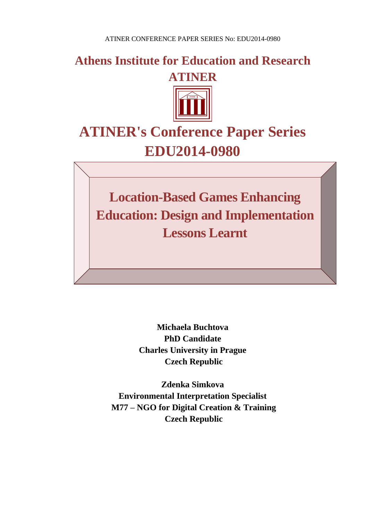**Athens Institute for Education and Research ATINER**



# **ATINER's Conference Paper Series EDU2014-0980**

**Location-Based Games Enhancing Education: Design and Implementation Lessons Learnt** 

> **Michaela Buchtova PhD Candidate Charles University in Prague Czech Republic**

**Zdenka Simkova Environmental Interpretation Specialist M77 – NGO for Digital Creation & Training Czech Republic**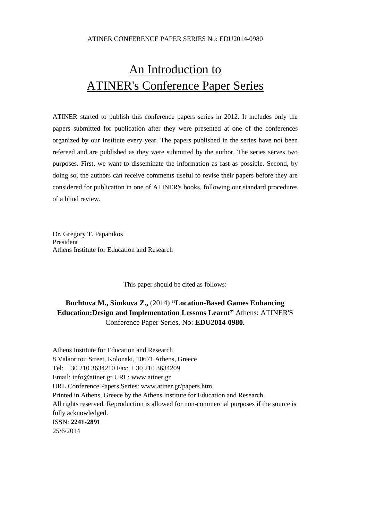## An Introduction to ATINER's Conference Paper Series

ATINER started to publish this conference papers series in 2012. It includes only the papers submitted for publication after they were presented at one of the conferences organized by our Institute every year. The papers published in the series have not been refereed and are published as they were submitted by the author. The series serves two purposes. First, we want to disseminate the information as fast as possible. Second, by doing so, the authors can receive comments useful to revise their papers before they are considered for publication in one of ATINER's books, following our standard procedures of a blind review.

Dr. Gregory T. Papanikos President Athens Institute for Education and Research

This paper should be cited as follows:

## **Buchtova M., Simkova Z.,** (2014) **"Location-Based Games Enhancing Education:Design and Implementation Lessons Learnt"** Athens: ATINER'S Conference Paper Series, No: **EDU2014-0980.**

Athens Institute for Education and Research 8 Valaoritou Street, Kolonaki, 10671 Athens, Greece Tel: + 30 210 3634210 Fax: + 30 210 3634209 Email: info@atiner.gr URL: www.atiner.gr URL Conference Papers Series: www.atiner.gr/papers.htm Printed in Athens, Greece by the Athens Institute for Education and Research. All rights reserved. Reproduction is allowed for non-commercial purposes if the source is fully acknowledged. ISSN: **2241-2891** 25/6/2014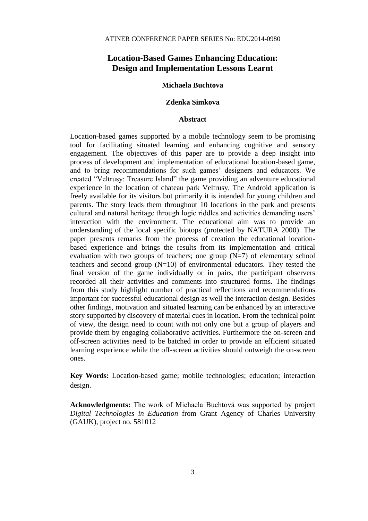### **Location-Based Games Enhancing Education: Design and Implementation Lessons Learnt**

#### **Michaela Buchtova**

#### **Zdenka Simkova**

#### **Abstract**

Location-based games supported by a mobile technology seem to be promising tool for facilitating situated learning and enhancing cognitive and sensory engagement. The objectives of this paper are to provide a deep insight into process of development and implementation of educational location-based game, and to bring recommendations for such games' designers and educators. We created "Veltrusy: Treasure Island" the game providing an adventure educational experience in the location of chateau park Veltrusy. The Android application is freely available for its visitors but primarily it is intended for young children and parents. The story leads them throughout 10 locations in the park and presents cultural and natural heritage through logic riddles and activities demanding users' interaction with the environment. The educational aim was to provide an understanding of the local specific biotops (protected by NATURA 2000). The paper presents remarks from the process of creation the educational locationbased experience and brings the results from its implementation and critical evaluation with two groups of teachers; one group  $(N=7)$  of elementary school teachers and second group  $(N=10)$  of environmental educators. They tested the final version of the game individually or in pairs, the participant observers recorded all their activities and comments into structured forms. The findings from this study highlight number of practical reflections and recommendations important for successful educational design as well the interaction design. Besides other findings, motivation and situated learning can be enhanced by an interactive story supported by discovery of material cues in location. From the technical point of view, the design need to count with not only one but a group of players and provide them by engaging collaborative activities. Furthermore the on-screen and off-screen activities need to be batched in order to provide an efficient situated learning experience while the off-screen activities should outweigh the on-screen ones.

**Key Words:** Location-based game; mobile technologies; education; interaction design.

**Acknowledgments:** The work of Michaela Buchtová was supported by project *Digital Technologies in Education* from Grant Agency of Charles University (GAUK), project no. 581012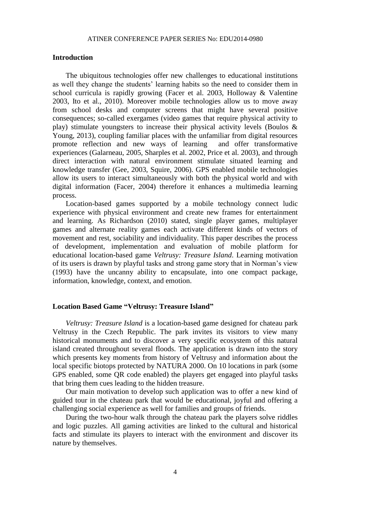#### **Introduction**

The ubiquitous technologies offer new challenges to educational institutions as well they change the students' learning habits so the need to consider them in school curricula is rapidly growing (Facer et al. 2003, Holloway & Valentine 2003, Ito et al., 2010). Moreover mobile technologies allow us to move away from school desks and computer screens that might have several positive consequences; so-called exergames (video games that require physical activity to play) stimulate youngsters to increase their physical activity levels (Boulos & Young, 2013), coupling familiar places with the unfamiliar from digital resources promote reflection and new ways of learning and offer transformative experiences (Galarneau, 2005, Sharples et al. 2002, Price et al. 2003), and through direct interaction with natural environment stimulate situated learning and knowledge transfer (Gee, 2003, Squire, 2006). GPS enabled mobile technologies allow its users to interact simultaneously with both the physical world and with digital information (Facer, 2004) therefore it enhances a multimedia learning process.

Location-based games supported by a mobile technology connect ludic experience with physical environment and create new frames for entertainment and learning. As Richardson (2010) stated, single player games, multiplayer games and alternate reality games each activate different kinds of vectors of movement and rest, sociability and individuality. This paper describes the process of development, implementation and evaluation of mobile platform for educational location-based game *Veltrusy: Treasure Island*. Learning motivation of its users is drawn by playful tasks and strong game story that in Norman's view (1993) have the uncanny ability to encapsulate, into one compact package, information, knowledge, context, and emotion.

#### **Location Based Game "Veltrusy: Treasure Island"**

*Veltrusy: Treasure Island* is a location-based game designed for chateau park Veltrusy in the Czech Republic. The park invites its visitors to view many historical monuments and to discover a very specific ecosystem of this natural island created throughout several floods. The application is drawn into the story which presents key moments from history of Veltrusy and information about the local specific biotops protected by NATURA 2000. On 10 locations in park (some GPS enabled, some QR code enabled) the players get engaged into playful tasks that bring them cues leading to the hidden treasure.

Our main motivation to develop such application was to offer a new kind of guided tour in the chateau park that would be educational, joyful and offering a challenging social experience as well for families and groups of friends.

During the two-hour walk through the chateau park the players solve riddles and logic puzzles. All gaming activities are linked to the cultural and historical facts and stimulate its players to interact with the environment and discover its nature by themselves.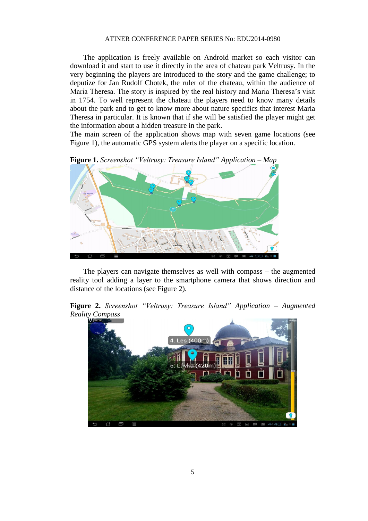The application is freely available on Android market so each visitor can download it and start to use it directly in the area of chateau park Veltrusy. In the very beginning the players are introduced to the story and the game challenge; to deputize for Jan Rudolf Chotek, the ruler of the chateau, within the audience of Maria Theresa. The story is inspired by the real history and Maria Theresa's visit in 1754. To well represent the chateau the players need to know many details about the park and to get to know more about nature specifics that interest Maria Theresa in particular. It is known that if she will be satisfied the player might get the information about a hidden treasure in the park.

The main screen of the application shows map with seven game locations (see Figure 1), the automatic GPS system alerts the player on a specific location.



The players can navigate themselves as well with compass – the augmented reality tool adding a layer to the smartphone camera that shows direction and distance of the locations (see Figure 2).

**Figure 2.** *Screenshot "Veltrusy: Treasure Island" Application – Augmented Reality Compass*

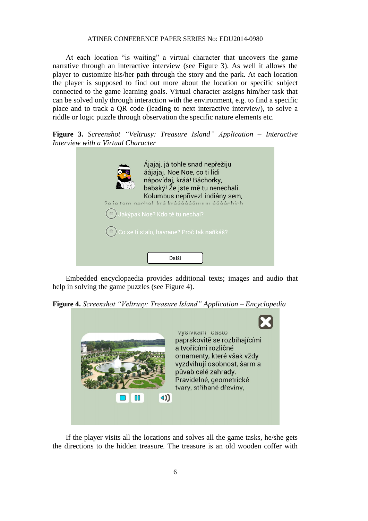At each location "is waiting" a virtual character that uncovers the game narrative through an interactive interview (see Figure 3). As well it allows the player to customize his/her path through the story and the park. At each location the player is supposed to find out more about the location or specific subject connected to the game learning goals. Virtual character assigns him/her task that can be solved only through interaction with the environment, e.g. to find a specific place and to track a QR code (leading to next interactive interview), to solve a riddle or logic puzzle through observation the specific nature elements etc.

**Figure 3.** *Screenshot "Veltrusy: Treasure Island" Application – Interactive Interview with a Virtual Character*

| Ájajaj, já tohle snad nepřežiju<br>áájajaj. Noe Noe, co ti lidi<br>nápovídaj, kráá! Báchorky,<br>babský! Že jste mě tu nenechali.<br>Kolumbus nepřivezl indiány sem,<br>že je tam nechal, kráľ kráááááánumi ááááchich |
|-----------------------------------------------------------------------------------------------------------------------------------------------------------------------------------------------------------------------|
| $(\circ)$ Jakýpak Noe? Kdo tě tu nechal?                                                                                                                                                                              |
| ○ Co se ti stalo, havrane? Proč tak naříkáš?                                                                                                                                                                          |
| Další                                                                                                                                                                                                                 |

Embedded encyclopaedia provides additional texts; images and audio that help in solving the game puzzles (see Figure 4).

**Figure 4.** *Screenshot "Veltrusy: Treasure Island" Application – Encyclopedia*



If the player visits all the locations and solves all the game tasks, he/she gets the directions to the hidden treasure. The treasure is an old wooden coffer with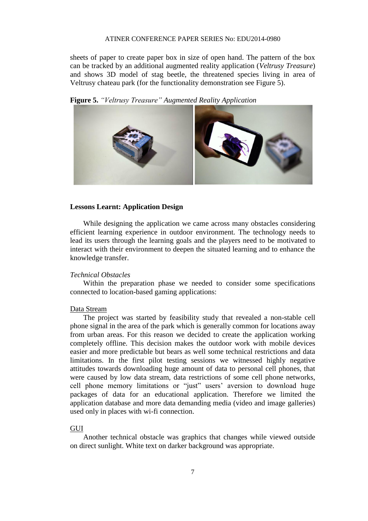sheets of paper to create paper box in size of open hand. The pattern of the box can be tracked by an additional augmented reality application (*Veltrusy Treasure*) and shows 3D model of stag beetle, the threatened species living in area of Veltrusy chateau park (for the functionality demonstration see Figure 5).

**Figure 5.** *"Veltrusy Treasure" Augmented Reality Application* 



#### **Lessons Learnt: Application Design**

While designing the application we came across many obstacles considering efficient learning experience in outdoor environment. The technology needs to lead its users through the learning goals and the players need to be motivated to interact with their environment to deepen the situated learning and to enhance the knowledge transfer.

#### *Technical Obstacles*

Within the preparation phase we needed to consider some specifications connected to location-based gaming applications:

#### Data Stream

The project was started by feasibility study that revealed a non-stable cell phone signal in the area of the park which is generally common for locations away from urban areas. For this reason we decided to create the application working completely offline. This decision makes the outdoor work with mobile devices easier and more predictable but bears as well some technical restrictions and data limitations. In the first pilot testing sessions we witnessed highly negative attitudes towards downloading huge amount of data to personal cell phones, that were caused by low data stream, data restrictions of some cell phone networks, cell phone memory limitations or "just" users' aversion to download huge packages of data for an educational application. Therefore we limited the application database and more data demanding media (video and image galleries) used only in places with wi-fi connection.

#### GUI

Another technical obstacle was graphics that changes while viewed outside on direct sunlight. White text on darker background was appropriate.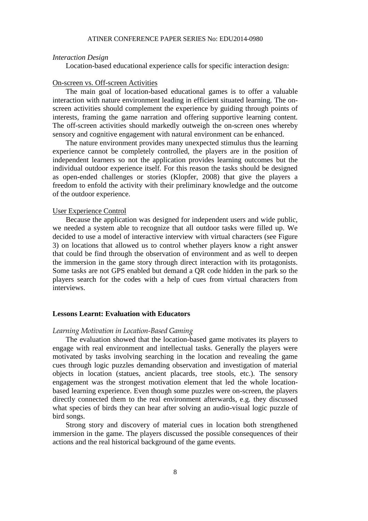#### *Interaction Design*

Location-based educational experience calls for specific interaction design:

#### On-screen vs. Off-screen Activities

The main goal of location-based educational games is to offer a valuable interaction with nature environment leading in efficient situated learning. The onscreen activities should complement the experience by guiding through points of interests, framing the game narration and offering supportive learning content. The off-screen activities should markedly outweigh the on-screen ones whereby sensory and cognitive engagement with natural environment can be enhanced.

The nature environment provides many unexpected stimulus thus the learning experience cannot be completely controlled, the players are in the position of independent learners so not the application provides learning outcomes but the individual outdoor experience itself. For this reason the tasks should be designed as open-ended challenges or stories (Klopfer, 2008) that give the players a freedom to enfold the activity with their preliminary knowledge and the outcome of the outdoor experience.

#### User Experience Control

Because the application was designed for independent users and wide public, we needed a system able to recognize that all outdoor tasks were filled up. We decided to use a model of interactive interview with virtual characters (see Figure 3) on locations that allowed us to control whether players know a right answer that could be find through the observation of environment and as well to deepen the immersion in the game story through direct interaction with its protagonists. Some tasks are not GPS enabled but demand a QR code hidden in the park so the players search for the codes with a help of cues from virtual characters from interviews.

#### **Lessons Learnt: Evaluation with Educators**

#### *Learning Motivation in Location-Based Gaming*

The evaluation showed that the location-based game motivates its players to engage with real environment and intellectual tasks. Generally the players were motivated by tasks involving searching in the location and revealing the game cues through logic puzzles demanding observation and investigation of material objects in location (statues, ancient placards, tree stools, etc.). The sensory engagement was the strongest motivation element that led the whole locationbased learning experience. Even though some puzzles were on-screen, the players directly connected them to the real environment afterwards, e.g. they discussed what species of birds they can hear after solving an audio-visual logic puzzle of bird songs.

Strong story and discovery of material cues in location both strengthened immersion in the game. The players discussed the possible consequences of their actions and the real historical background of the game events.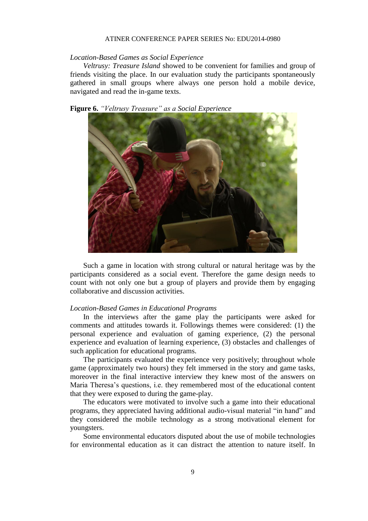#### *Location-Based Games as Social Experience*

*Veltrusy: Treasure Island* showed to be convenient for families and group of friends visiting the place. In our evaluation study the participants spontaneously gathered in small groups where always one person hold a mobile device, navigated and read the in-game texts.





Such a game in location with strong cultural or natural heritage was by the participants considered as a social event. Therefore the game design needs to count with not only one but a group of players and provide them by engaging collaborative and discussion activities.

#### *Location-Based Games in Educational Programs*

In the interviews after the game play the participants were asked for comments and attitudes towards it. Followings themes were considered: (1) the personal experience and evaluation of gaming experience, (2) the personal experience and evaluation of learning experience, (3) obstacles and challenges of such application for educational programs.

The participants evaluated the experience very positively; throughout whole game (approximately two hours) they felt immersed in the story and game tasks, moreover in the final interactive interview they knew most of the answers on Maria Theresa's questions, i.e. they remembered most of the educational content that they were exposed to during the game-play.

The educators were motivated to involve such a game into their educational programs, they appreciated having additional audio-visual material "in hand" and they considered the mobile technology as a strong motivational element for youngsters.

Some environmental educators disputed about the use of mobile technologies for environmental education as it can distract the attention to nature itself. In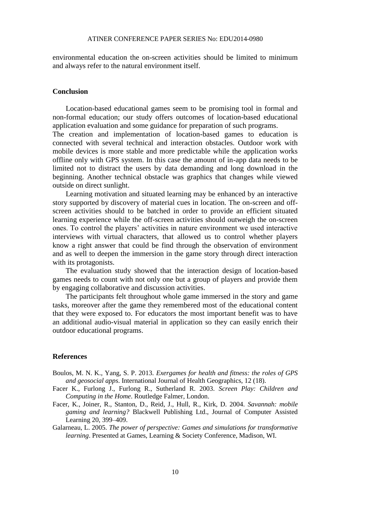environmental education the on-screen activities should be limited to minimum and always refer to the natural environment itself.

#### **Conclusion**

Location-based educational games seem to be promising tool in formal and non-formal education; our study offers outcomes of location-based educational application evaluation and some guidance for preparation of such programs.

The creation and implementation of location-based games to education is connected with several technical and interaction obstacles. Outdoor work with mobile devices is more stable and more predictable while the application works offline only with GPS system. In this case the amount of in-app data needs to be limited not to distract the users by data demanding and long download in the beginning. Another technical obstacle was graphics that changes while viewed outside on direct sunlight.

Learning motivation and situated learning may be enhanced by an interactive story supported by discovery of material cues in location. The on-screen and offscreen activities should to be batched in order to provide an efficient situated learning experience while the off-screen activities should outweigh the on-screen ones. To control the players' activities in nature environment we used interactive interviews with virtual characters, that allowed us to control whether players know a right answer that could be find through the observation of environment and as well to deepen the immersion in the game story through direct interaction with its protagonists.

The evaluation study showed that the interaction design of location-based games needs to count with not only one but a group of players and provide them by engaging collaborative and discussion activities.

The participants felt throughout whole game immersed in the story and game tasks, moreover after the game they remembered most of the educational content that they were exposed to. For educators the most important benefit was to have an additional audio-visual material in application so they can easily enrich their outdoor educational programs.

#### **References**

- Boulos, M. N. K., Yang, S. P. 2013. *Exergames for health and fitness: the roles of GPS and geosocial apps*. International Journal of Health Geographics, 12 (18).
- Facer K., Furlong J., Furlong R., Sutherland R. 2003. *Screen Play: Children and Computing in the Home*. Routledge Falmer, London.
- Facer, K., Joiner, R., Stanton, D., Reid, J., Hull, R., Kirk, D. 2004. *Savannah: mobile gaming and learning?* Blackwell Publishing Ltd., Journal of Computer Assisted Learning 20, 399–409.
- Galarneau, L. 2005. *The power of perspective: Games and simulations for transformative learning*. Presented at Games, Learning & Society Conference, Madison, WI.